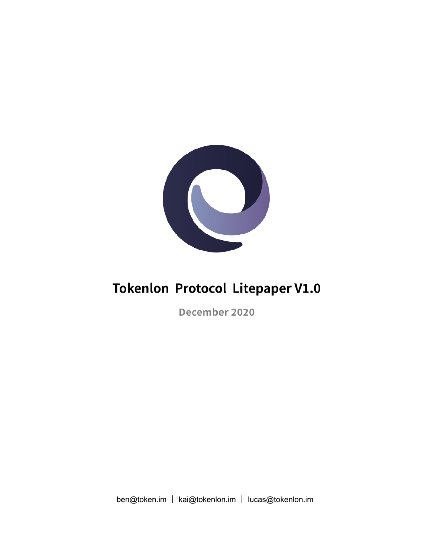

## **Tokenlon Protocol Litepaper V1.0**

December 2020

ben@token.im | kai@tokenlon.im | lucas@tokenlon.im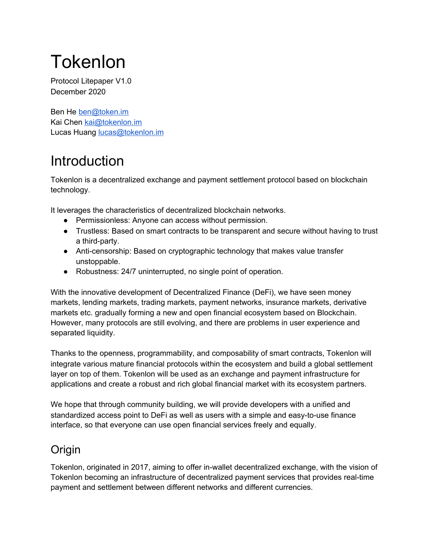# Tokenlon

Protocol Litepaper V1.0 December 2020

Ben He [ben@token.im](mailto:ben@token.im) Kai Chen [kai@tokenlon.im](mailto:kai@tokenlon.im) Lucas Huang [lucas@tokenlon.im](mailto:lucas@tokenlon.im)

## Introduction

Tokenlon is a decentralized exchange and payment settlement protocol based on blockchain technology.

It leverages the characteristics of decentralized blockchain networks.

- Permissionless: Anyone can access without permission.
- Trustless: Based on smart contracts to be transparent and secure without having to trust a third-party.
- Anti-censorship: Based on cryptographic technology that makes value transfer unstoppable.
- Robustness: 24/7 uninterrupted, no single point of operation.

With the innovative development of Decentralized Finance (DeFi), we have seen money markets, lending markets, trading markets, payment networks, insurance markets, derivative markets etc. gradually forming a new and open financial ecosystem based on Blockchain. However, many protocols are still evolving, and there are problems in user experience and separated liquidity.

Thanks to the openness, programmability, and composability of smart contracts, Tokenlon will integrate various mature financial protocols within the ecosystem and build a global settlement layer on top of them. Tokenlon will be used as an exchange and payment infrastructure for applications and create a robust and rich global financial market with its ecosystem partners.

We hope that through community building, we will provide developers with a unified and standardized access point to DeFi as well as users with a simple and easy-to-use finance interface, so that everyone can use open financial services freely and equally.

## **Origin**

Tokenlon, originated in 2017, aiming to offer in-wallet decentralized exchange, with the vision of Tokenlon becoming an infrastructure of decentralized payment services that provides real-time payment and settlement between different networks and different currencies.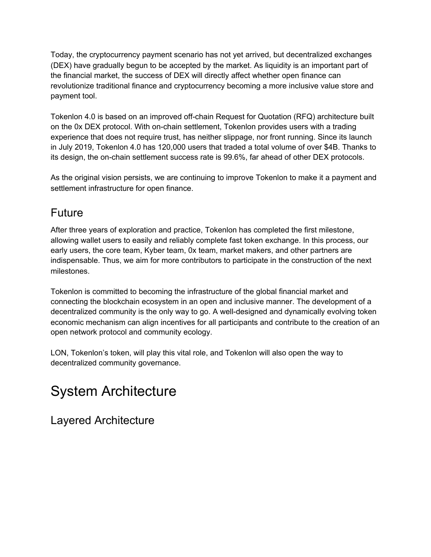Today, the cryptocurrency payment scenario has not yet arrived, but decentralized exchanges (DEX) have gradually begun to be accepted by the market. As liquidity is an important part of the financial market, the success of DEX will directly affect whether open finance can revolutionize traditional finance and cryptocurrency becoming a more inclusive value store and payment tool.

Tokenlon 4.0 is based on an improved off-chain Request for Quotation (RFQ) architecture built on the 0x DEX protocol. With on-chain settlement, Tokenlon provides users with a trading experience that does not require trust, has neither slippage, nor front running. Since its launch in July 2019, Tokenlon 4.0 has 120,000 users that traded a total volume of over \$4B. Thanks to its design, the on-chain settlement success rate is 99.6%, far ahead of other DEX protocols.

As the original vision persists, we are continuing to improve Tokenlon to make it a payment and settlement infrastructure for open finance.

### Future

After three years of exploration and practice, Tokenlon has completed the first milestone, allowing wallet users to easily and reliably complete fast token exchange. In this process, our early users, the core team, Kyber team, 0x team, market makers, and other partners are indispensable. Thus, we aim for more contributors to participate in the construction of the next milestones.

Tokenlon is committed to becoming the infrastructure of the global financial market and connecting the blockchain ecosystem in an open and inclusive manner. The development of a decentralized community is the only way to go. A well-designed and dynamically evolving token economic mechanism can align incentives for all participants and contribute to the creation of an open network protocol and community ecology.

LON, Tokenlon's token, will play this vital role, and Tokenlon will also open the way to decentralized community governance.

## System Architecture

Layered Architecture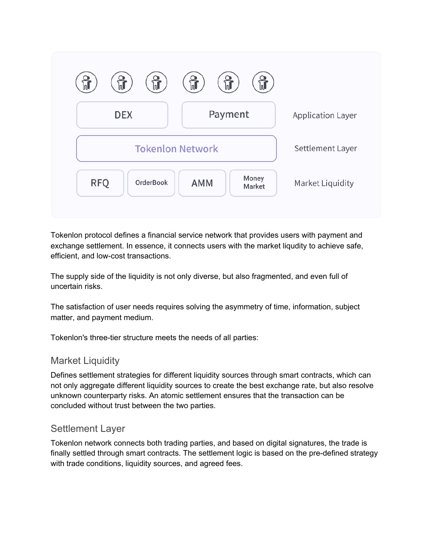

Tokenlon protocol defines a financial service network that provides users with payment and exchange settlement. In essence, it connects users with the market liqudity to achieve safe, efficient, and low-cost transactions.

The supply side of the liquidity is not only diverse, but also fragmented, and even full of uncertain risks.

The satisfaction of user needs requires solving the asymmetry of time, information, subject matter, and payment medium.

Tokenlon's three-tier structure meets the needs of all parties:

#### Market Liquidity

Defines settlement strategies for different liquidity sources through smart contracts, which can not only aggregate different liquidity sources to create the best exchange rate, but also resolve unknown counterparty risks. An atomic settlement ensures that the transaction can be concluded without trust between the two parties.

#### Settlement Layer

Tokenlon network connects both trading parties, and based on digital signatures, the trade is finally settled through smart contracts. The settlement logic is based on the pre-defined strategy with trade conditions, liquidity sources, and agreed fees.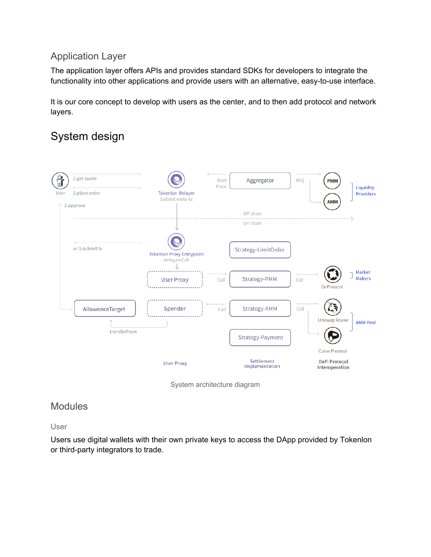#### Application Layer

The application layer offers APIs and provides standard SDKs for developers to integrate the functionality into other applications and provide users with an alternative, easy-to-use interface.

It is our core concept to develop with users as the center, and to then add protocol and network layers.

## System design



System architecture diagram

#### **Modules**

User

Users use digital wallets with their own private keys to access the DApp provided by Tokenlon or third-party integrators to trade.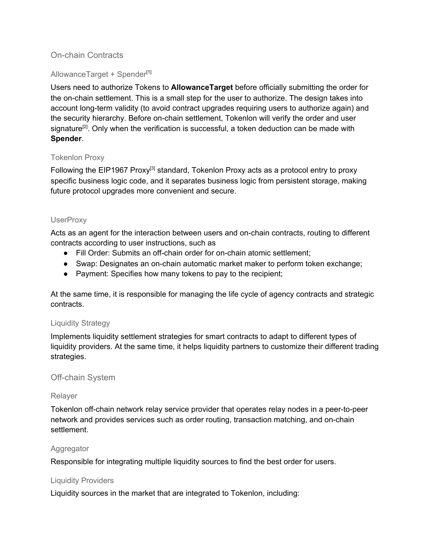#### On-chain Contracts

#### AllowanceTarget + Spender<sup>[1]</sup>

Users need to authorize Tokens to **AllowanceTarget** before officially submitting the order for the on-chain settlement. This is a small step for the user to authorize. The design takes into account long-term validity (to avoid contract upgrades requiring users to authorize again) and the security hierarchy. Before on-chain settlement, Tokenlon will verify the order and user signature<sup>[2]</sup>. Only when the verification is successful, a token deduction can be made with **Spender**.

#### Tokenlon Proxy

Following the EIP1967 Proxy<sup>[3]</sup> standard, Tokenlon Proxy acts as a protocol entry to proxy specific business logic code, and it separates business logic from persistent storage, making future protocol upgrades more convenient and secure.

#### **UserProxy**

Acts as an agent for the interaction between users and on-chain contracts, routing to different contracts according to user instructions, such as

- Fill Order: Submits an off-chain order for on-chain atomic settlement;
- Swap: Designates an on-chain automatic market maker to perform token exchange;
- Payment: Specifies how many tokens to pay to the recipient;

At the same time, it is responsible for managing the life cycle of agency contracts and strategic contracts.

#### Liquidity Strategy

Implements liquidity settlement strategies for smart contracts to adapt to different types of liquidity providers. At the same time, it helps liquidity partners to customize their different trading strategies.

#### Off-chain System

#### Relayer

Tokenlon off-chain network relay service provider that operates relay nodes in a peer-to-peer network and provides services such as order routing, transaction matching, and on-chain settlement.

#### Aggregator

Responsible for integrating multiple liquidity sources to find the best order for users.

#### Liquidity Providers

Liquidity sources in the market that are integrated to Tokenlon, including: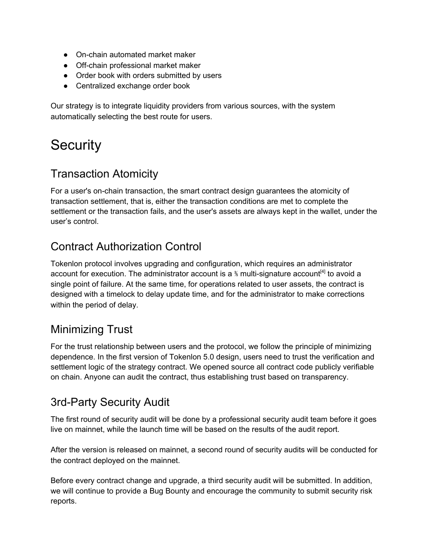- On-chain automated market maker
- Off-chain professional market maker
- Order book with orders submitted by users
- Centralized exchange order book

Our strategy is to integrate liquidity providers from various sources, with the system automatically selecting the best route for users.

## **Security**

### Transaction Atomicity

For a user's on-chain transaction, the smart contract design guarantees the atomicity of transaction settlement, that is, either the transaction conditions are met to complete the settlement or the transaction fails, and the user's assets are always kept in the wallet, under the user's control.

## Contract Authorization Control

Tokenlon protocol involves upgrading and configuration, which requires an administrator account for execution. The administrator account is a  $*$  multi-signature account<sup>[4]</sup> to avoid a single point of failure. At the same time, for operations related to user assets, the contract is designed with a timelock to delay update time, and for the administrator to make corrections within the period of delay.

## Minimizing Trust

For the trust relationship between users and the protocol, we follow the principle of minimizing dependence. In the first version of Tokenlon 5.0 design, users need to trust the verification and settlement logic of the strategy contract. We opened source all contract code publicly verifiable on chain. Anyone can audit the contract, thus establishing trust based on transparency.

### 3rd-Party Security Audit

The first round of security audit will be done by a professional security audit team before it goes live on mainnet, while the launch time will be based on the results of the audit report.

After the version is released on mainnet, a second round of security audits will be conducted for the contract deployed on the mainnet.

Before every contract change and upgrade, a third security audit will be submitted. In addition, we will continue to provide a Bug Bounty and encourage the community to submit security risk reports.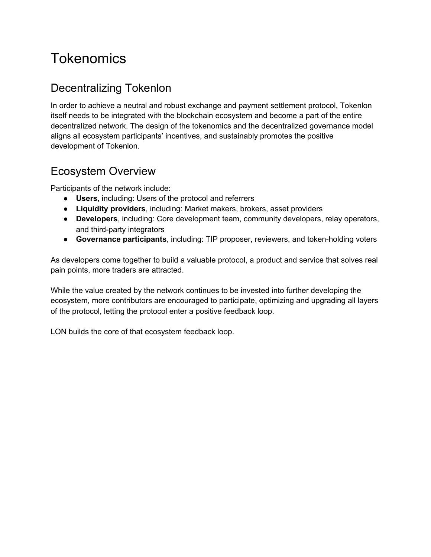## **Tokenomics**

### Decentralizing Tokenlon

In order to achieve a neutral and robust exchange and payment settlement protocol, Tokenlon itself needs to be integrated with the blockchain ecosystem and become a part of the entire decentralized network. The design of the tokenomics and the decentralized governance model aligns all ecosystem participants' incentives, and sustainably promotes the positive development of Tokenlon.

### Ecosystem Overview

Participants of the network include:

- **Users**, including: Users of the protocol and referrers
- **Liquidity providers**, including: Market makers, brokers, asset providers
- **Developers**, including: Core development team, community developers, relay operators, and third-party integrators
- **Governance participants**, including: TIP proposer, reviewers, and token-holding voters

As developers come together to build a valuable protocol, a product and service that solves real pain points, more traders are attracted.

While the value created by the network continues to be invested into further developing the ecosystem, more contributors are encouraged to participate, optimizing and upgrading all layers of the protocol, letting the protocol enter a positive feedback loop.

LON builds the core of that ecosystem feedback loop.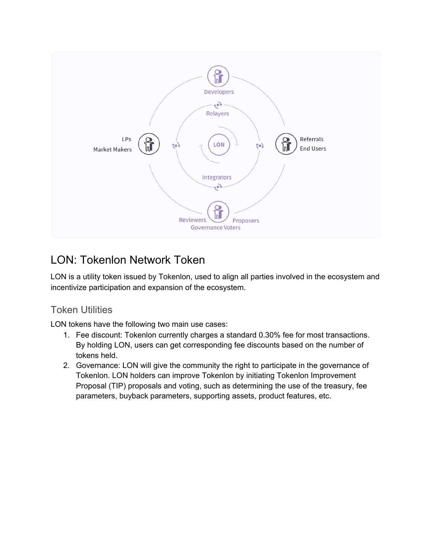

## LON: Tokenlon Network Token

LON is a utility token issued by Tokenlon, used to align all parties involved in the ecosystem and incentivize participation and expansion of the ecosystem.

### Token Utilities

LON tokens have the following two main use cases:

- 1. Fee discount: Tokenlon currently charges a standard 0.30% fee for most transactions. By holding LON, users can get corresponding fee discounts based on the number of tokens held.
- 2. Governance: LON will give the community the right to participate in the governance of Tokenlon. LON holders can improve Tokenlon by initiating Tokenlon Improvement Proposal (TIP) proposals and voting, such as determining the use of the treasury, fee parameters, buyback parameters, supporting assets, product features, etc.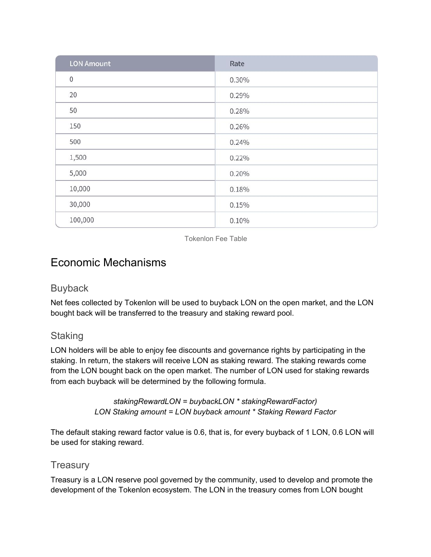| <b>LON Amount</b> | Rate  |
|-------------------|-------|
| $\mathbf 0$       | 0.30% |
| 20                | 0.29% |
| 50                | 0.28% |
| 150               | 0.26% |
| 500               | 0.24% |
| 1,500             | 0.22% |
| 5,000             | 0.20% |
| 10,000            | 0.18% |
| 30,000            | 0.15% |
| 100,000           | 0.10% |

Tokenlon Fee Table

### Economic Mechanisms

#### **Buyback**

Net fees collected by Tokenlon will be used to buyback LON on the open market, and the LON bought back will be transferred to the treasury and staking reward pool.

#### **Staking**

LON holders will be able to enjoy fee discounts and governance rights by participating in the staking. In return, the stakers will receive LON as staking reward. The staking rewards come from the LON bought back on the open market. The number of LON used for staking rewards from each buyback will be determined by the following formula.

> *stakingRewardLON = buybackLON \* stakingRewardFactor) LON Staking amount = LON buyback amount \* Staking Reward Factor*

The default staking reward factor value is 0.6, that is, for every buyback of 1 LON, 0.6 LON will be used for staking reward.

#### **Treasury**

Treasury is a LON reserve pool governed by the community, used to develop and promote the development of the Tokenlon ecosystem. The LON in the treasury comes from LON bought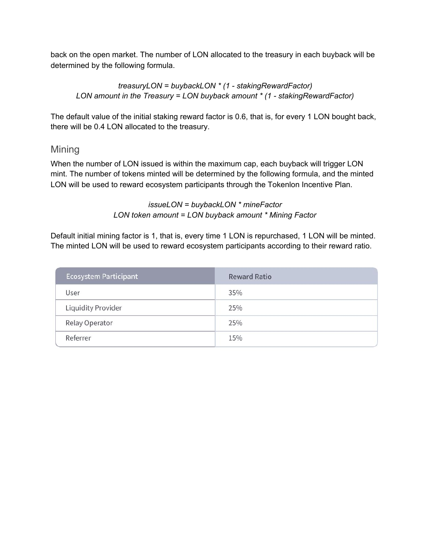back on the open market. The number of LON allocated to the treasury in each buyback will be determined by the following formula.

*treasuryLON = buybackLON \* (1 - stakingRewardFactor) LON amount in the Treasury = LON buyback amount \* (1 - stakingRewardFactor)*

The default value of the initial staking reward factor is 0.6, that is, for every 1 LON bought back, there will be 0.4 LON allocated to the treasury.

#### Mining

When the number of LON issued is within the maximum cap, each buyback will trigger LON mint. The number of tokens minted will be determined by the following formula, and the minted LON will be used to reward ecosystem participants through the Tokenlon Incentive Plan.

> *issueLON = buybackLON \* mineFactor LON token amount = LON buyback amount \* Mining Factor*

Default initial mining factor is 1, that is, every time 1 LON is repurchased, 1 LON will be minted. The minted LON will be used to reward ecosystem participants according to their reward ratio.

| <b>Ecosystem Participant</b> | <b>Reward Ratio</b> |
|------------------------------|---------------------|
| User                         | 35%                 |
| Liquidity Provider           | 25%                 |
| Relay Operator               | 25%                 |
| Referrer                     | 15%                 |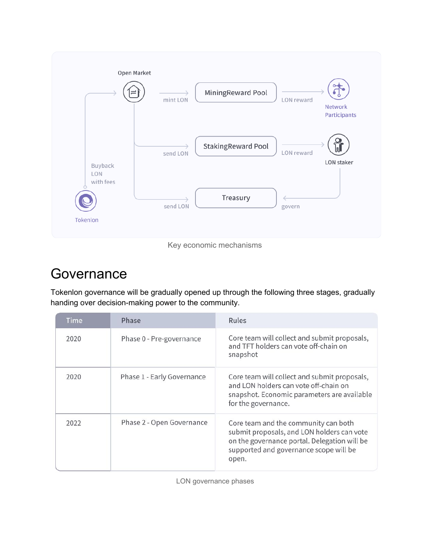

#### Key economic mechanisms

## **Governance**

Tokenlon governance will be gradually opened up through the following three stages, gradually handing over decision-making power to the community.

| Time | Phase                      | Rules                                                                                                                                                                                 |  |
|------|----------------------------|---------------------------------------------------------------------------------------------------------------------------------------------------------------------------------------|--|
| 2020 | Phase 0 - Pre-governance   | Core team will collect and submit proposals,<br>and TFT holders can vote off-chain on<br>snapshot                                                                                     |  |
| 2020 | Phase 1 - Early Governance | Core team will collect and submit proposals,<br>and LON holders can vote off-chain on<br>snapshot. Economic parameters are available<br>for the governance.                           |  |
| 2022 | Phase 2 - Open Governance  | Core team and the community can both<br>submit proposals, and LON holders can vote<br>on the governance portal. Delegation will be<br>supported and governance scope will be<br>open. |  |

LON governance phases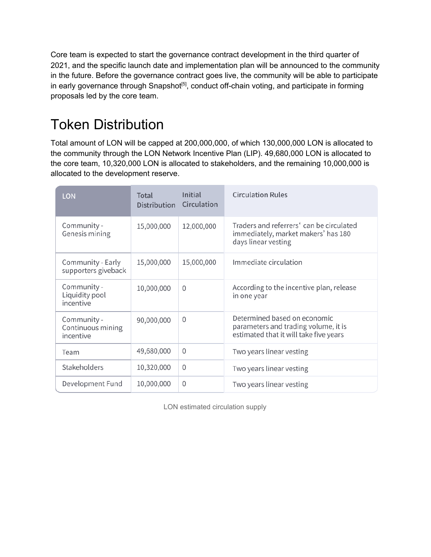Core team is expected to start the governance contract development in the third quarter of 2021, and the specific launch date and implementation plan will be announced to the community in the future. Before the governance contract goes live, the community will be able to participate in early governance through Snapshot<sup>[5]</sup>, conduct off-chain voting, and participate in forming proposals led by the core team.

## Token Distribution

Total amount of LON will be capped at 200,000,000, of which 130,000,000 LON is allocated to the community through the LON Network Incentive Plan (LIP). 49,680,000 LON is allocated to the core team, 10,320,000 LON is allocated to stakeholders, and the remaining 10,000,000 is allocated to the development reserve.

| <b>LON</b>                                    | Total<br><b>Distribution</b> | Initial<br>Circulation | <b>Circulation Rules</b>                                                                                       |
|-----------------------------------------------|------------------------------|------------------------|----------------------------------------------------------------------------------------------------------------|
| Community -<br>Genesis mining                 | 15,000,000                   | 12,000,000             | Traders and referrers' can be circulated<br>immediately, market makers' has 180<br>days linear vesting         |
| Community - Early<br>supporters giveback      | 15,000,000                   | 15,000,000             | Immediate circulation                                                                                          |
| Community -<br>Liquidity pool<br>incentive    | 10,000,000                   | $\Omega$               | According to the incentive plan, release<br>in one year                                                        |
| Community -<br>Continuous mining<br>incentive | 90,000,000                   | $\Omega$               | Determined based on economic<br>parameters and trading volume, it is<br>estimated that it will take five years |
| Team                                          | 49,680,000                   | $\Omega$               | Two years linear vesting                                                                                       |
| Stakeholders                                  | 10,320,000                   | $\Omega$               | Two years linear vesting                                                                                       |
| Development Fund                              | 10,000,000                   | $\Omega$               | Two years linear vesting                                                                                       |

LON estimated circulation supply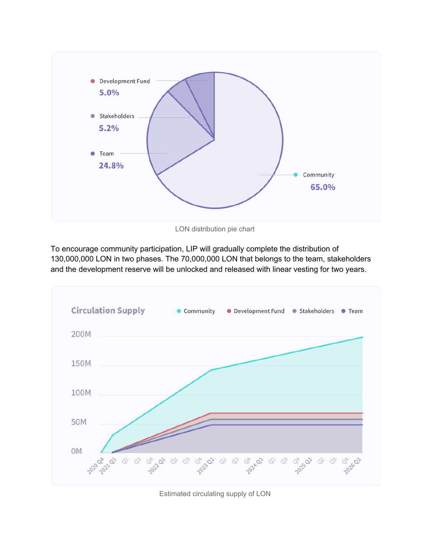

LON distribution pie chart

To encourage community participation, LIP will gradually complete the distribution of 130,000,000 LON in two phases. The 70,000,000 LON that belongs to the team, stakeholders and the development reserve will be unlocked and released with linear vesting for two years.



Estimated circulating supply of LON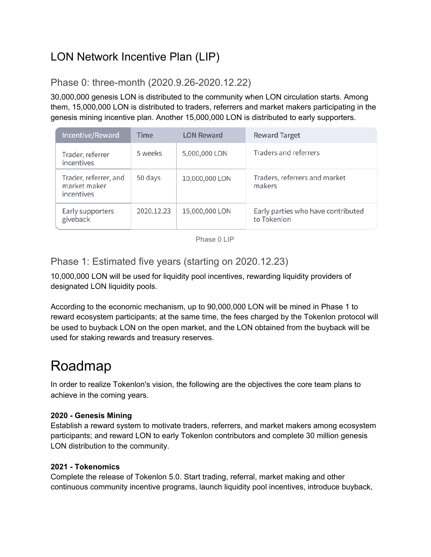## LON Network Incentive Plan (LIP)

### Phase 0: three-month (2020.9.26-2020.12.22)

30,000,000 genesis LON is distributed to the community when LON circulation starts. Among them, 15,000,000 LON is distributed to traders, referrers and market makers participating in the genesis mining incentive plan. Another 15,000,000 LON is distributed to early supporters.

| Incentive/Reward                                    | <b>Time</b> | <b>LON Reward</b> | <b>Reward Target</b>                              |
|-----------------------------------------------------|-------------|-------------------|---------------------------------------------------|
| Trader, referrer<br>incentives                      | 5 weeks     | 5,000,000 LON     | Traders and referrers                             |
| Trader, referrer, and<br>market maker<br>incentives | 50 days     | 10,000,000 LON    | Traders, referrers and market<br>makers           |
| Early supporters<br>giveback                        | 2020.12.23  | 15,000,000 LON    | Early parties who have contributed<br>to Tokenlon |

Phase 0 LIP

Phase 1: Estimated five years (starting on 2020.12.23)

10,000,000 LON will be used for liquidity pool incentives, rewarding liquidity providers of designated LON liquidity pools.

According to the economic mechanism, up to 90,000,000 LON will be mined in Phase 1 to reward ecosystem participants; at the same time, the fees charged by the Tokenlon protocol will be used to buyback LON on the open market, and the LON obtained from the buyback will be used for staking rewards and treasury reserves.

## Roadmap

In order to realize Tokenlon's vision, the following are the objectives the core team plans to achieve in the coming years.

#### **2020 - Genesis Mining**

Establish a reward system to motivate traders, referrers, and market makers among ecosystem participants; and reward LON to early Tokenlon contributors and complete 30 million genesis LON distribution to the community.

#### **2021 - Tokenomics**

Complete the release of Tokenlon 5.0. Start trading, referral, market making and other continuous community incentive programs, launch liquidity pool incentives, introduce buyback,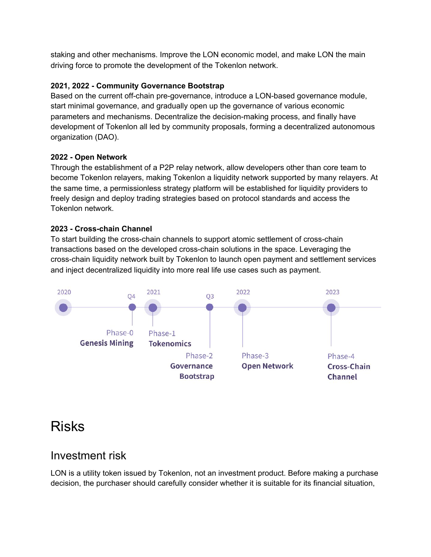staking and other mechanisms. Improve the LON economic model, and make LON the main driving force to promote the development of the Tokenlon network.

#### **2021, 2022 - Community Governance Bootstrap**

Based on the current off-chain pre-governance, introduce a LON-based governance module, start minimal governance, and gradually open up the governance of various economic parameters and mechanisms. Decentralize the decision-making process, and finally have development of Tokenlon all led by community proposals, forming a decentralized autonomous organization (DAO).

#### **2022 - Open Network**

Through the establishment of a P2P relay network, allow developers other than core team to become Tokenlon relayers, making Tokenlon a liquidity network supported by many relayers. At the same time, a permissionless strategy platform will be established for liquidity providers to freely design and deploy trading strategies based on protocol standards and access the Tokenlon network.

#### **2023 - Cross-chain Channel**

To start building the cross-chain channels to support atomic settlement of cross-chain transactions based on the developed cross-chain solutions in the space. Leveraging the cross-chain liquidity network built by Tokenlon to launch open payment and settlement services and inject decentralized liquidity into more real life use cases such as payment.



## Risks

### Investment risk

LON is a utility token issued by Tokenlon, not an investment product. Before making a purchase decision, the purchaser should carefully consider whether it is suitable for its financial situation,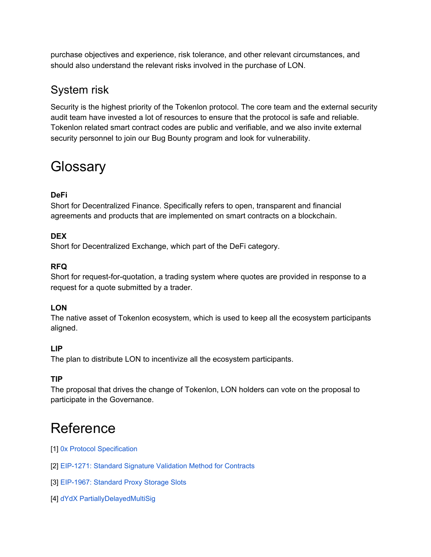purchase objectives and experience, risk tolerance, and other relevant circumstances, and should also understand the relevant risks involved in the purchase of LON.

## System risk

Security is the highest priority of the Tokenlon protocol. The core team and the external security audit team have invested a lot of resources to ensure that the protocol is safe and reliable. Tokenlon related smart contract codes are public and verifiable, and we also invite external security personnel to join our Bug Bounty program and look for vulnerability.

## **Glossary**

#### **DeFi**

Short for Decentralized Finance. Specifically refers to open, transparent and financial agreements and products that are implemented on smart contracts on a blockchain.

#### **DEX**

Short for Decentralized Exchange, which part of the DeFi category.

#### **RFQ**

Short for request-for-quotation, a trading system where quotes are provided in response to a request for a quote submitted by a trader.

#### **LON**

The native asset of Tokenlon ecosystem, which is used to keep all the ecosystem participants aligned.

#### **LIP**

The plan to distribute LON to incentivize all the ecosystem participants.

#### **TIP**

The proposal that drives the change of Tokenlon, LON holders can vote on the proposal to participate in the Governance.

## Reference

- [1] 0x Protocol [Specification](https://0x.org/docs/guides/v2-specification)
- [2] [EIP-1271:](https://eips.ethereum.org/EIPS/eip-1271) Standard Signature Validation Method for Contracts
- [3] [EIP-1967:](https://eips.ethereum.org/EIPS/eip-1967) Standard Proxy Storage Slots
- [4] dYdX [PartiallyDelayedMultiSig](https://etherscan.io/address/0xba2906b18b069b40c6d2cafd392e76ad479b1b53#code)